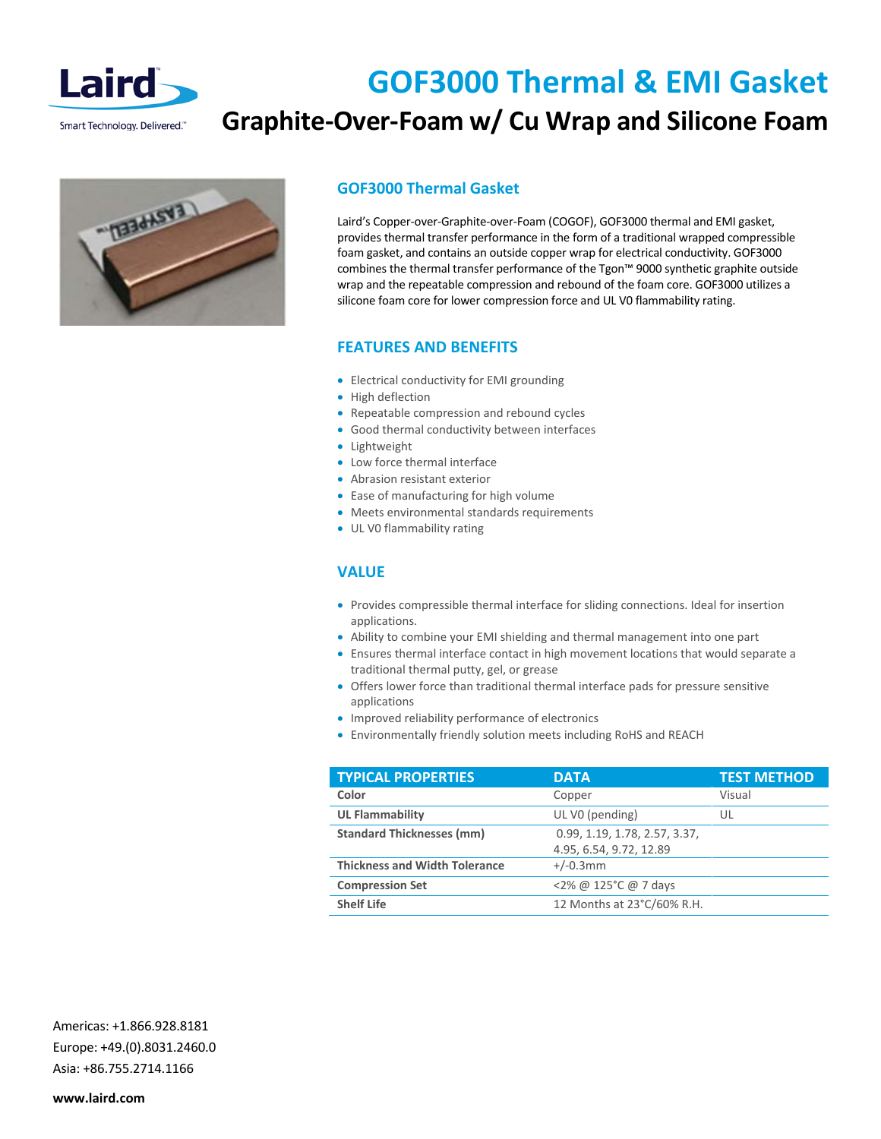

## **GOF3000 Thermal & EMI Gasket Graphite-Over-Foam w/ Cu Wrap and Silicone Foam**



## **GOF3000 Thermal Gasket**

Laird's Copper-over-Graphite-over-Foam (COGOF), GOF3000 thermal and EMI gasket, provides thermal transfer performance in the form of a traditional wrapped compressible foam gasket, and contains an outside copper wrap for electrical conductivity. GOF3000 combines the thermal transfer performance of the Tgon™ 9000 synthetic graphite outside wrap and the repeatable compression and rebound of the foam core. GOF3000 utilizes a silicone foam core for lower compression force and UL V0 flammability rating.

### **FEATURES AND BENEFITS**

- Electrical conductivity for EMI grounding
- High deflection
- Repeatable compression and rebound cycles
- Good thermal conductivity between interfaces
- Lightweight
- Low force thermal interface
- Abrasion resistant exterior
- Ease of manufacturing for high volume
- Meets environmental standards requirements
- UL V0 flammability rating

#### **VALUE**

- Provides compressible thermal interface for sliding connections. Ideal for insertion applications.
- Ability to combine your EMI shielding and thermal management into one part
- Ensures thermal interface contact in high movement locations that would separate a traditional thermal putty, gel, or grease
- Offers lower force than traditional thermal interface pads for pressure sensitive applications
- Improved reliability performance of electronics
- Environmentally friendly solution meets including RoHS and REACH

| <b>DATA</b>                   | <b>TEST METHOD</b> |
|-------------------------------|--------------------|
| Copper                        | Visual             |
| UL V0 (pending)               | UL                 |
| 0.99, 1.19, 1.78, 2.57, 3.37, |                    |
| 4.95, 6.54, 9.72, 12.89       |                    |
| $+/-0.3$ mm                   |                    |
| <2% @ 125°C @ 7 days          |                    |
| 12 Months at 23°C/60% R.H.    |                    |
|                               |                    |

Americas: +1.866.928.8181 Europe: +49.(0).8031.2460.0 Asia: +86.755.2714.1166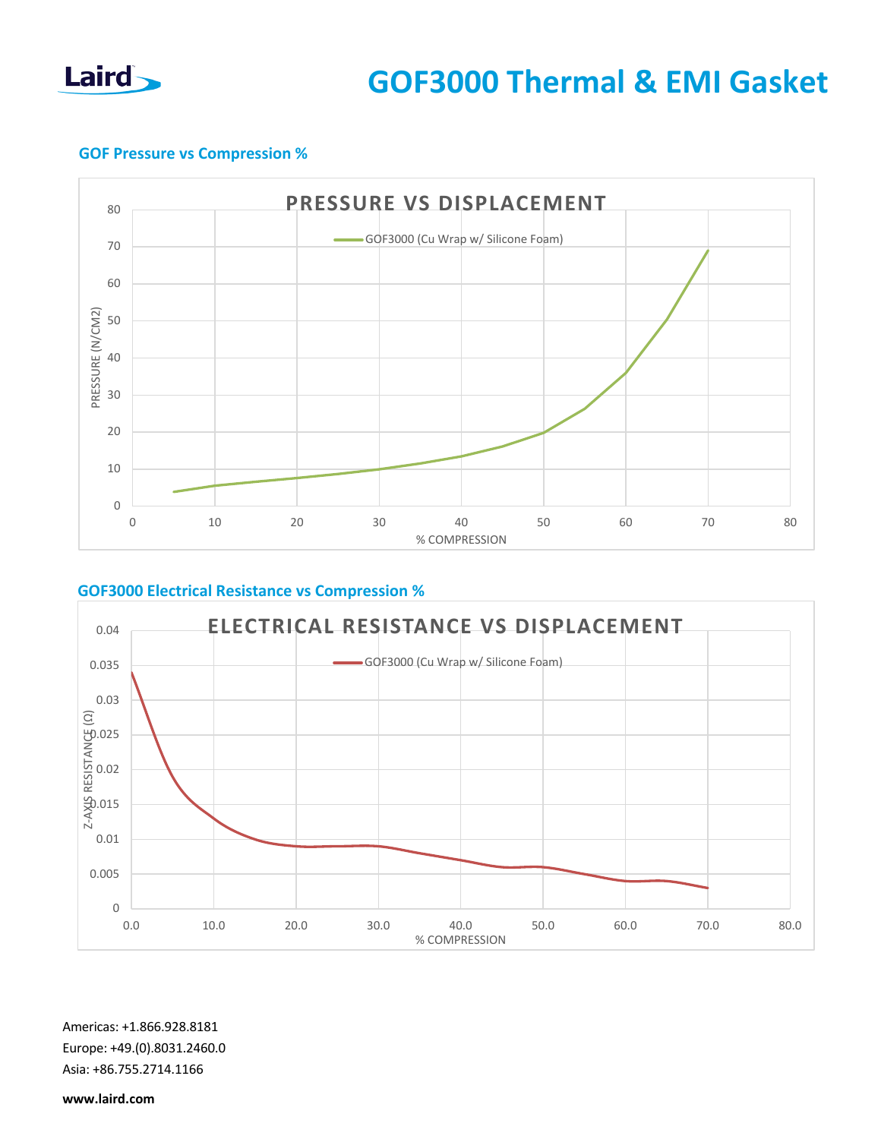

## **GOF Pressure vs Compression %**



## **GOF3000 Electrical Resistance vs Compression %**



Americas: +1.866.928.8181 Europe: +49.(0).8031.2460.0 Asia: +86.755.2714.1166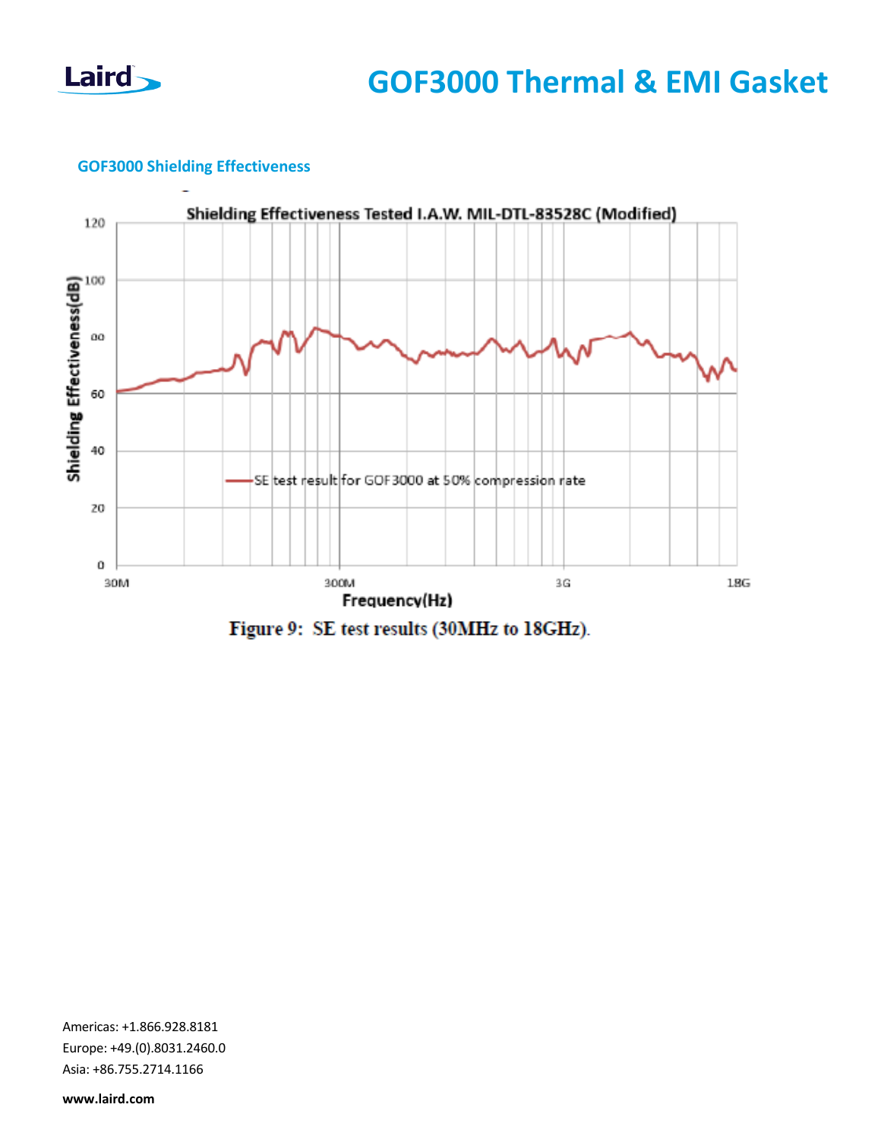

## **GOF3000 Shielding Effectiveness**



Figure 9: SE test results (30MHz to 18GHz).

Americas: +1.866.928.8181 Europe: +49.(0).8031.2460.0 Asia: +86.755.2714.1166